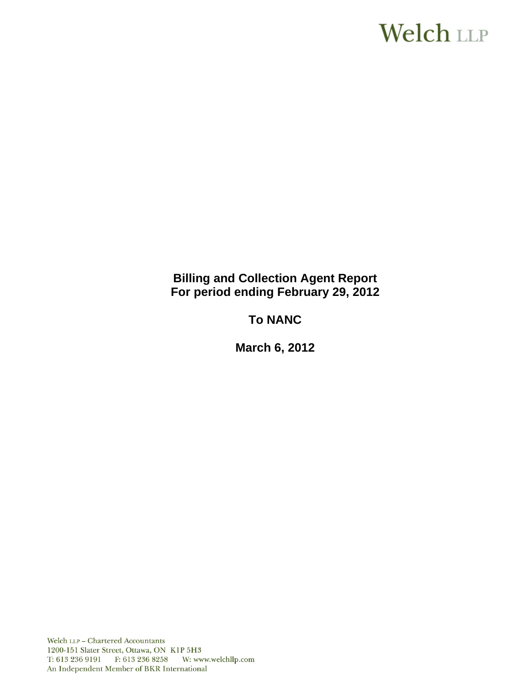# Welch LLP

# **Billing and Collection Agent Report For period ending February 29, 2012**

# **To NANC**

**March 6, 2012**

Welch LLP - Chartered Accountants 1200-151 Slater Street, Ottawa, ON K1P 5H3 T: 613 236 9191 F: 613 236 8258 W: www.welchllp.com An Independent Member of BKR International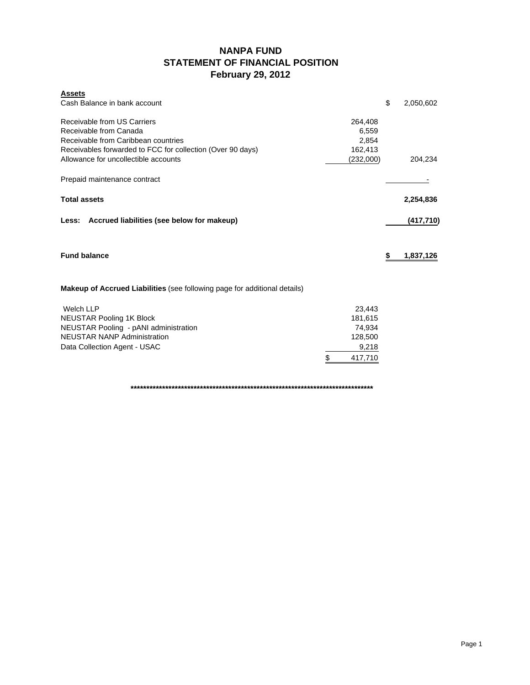### **NANPA FUND STATEMENT OF FINANCIAL POSITION February 29, 2012**

| <b>Assets</b><br>Cash Balance in bank account                                                                                                              |                   | \$<br>2,050,602 |
|------------------------------------------------------------------------------------------------------------------------------------------------------------|-------------------|-----------------|
| Receivable from US Carriers<br>Receivable from Canada<br>Receivable from Caribbean countries<br>Receivables forwarded to FCC for collection (Over 90 days) |                   |                 |
| Allowance for uncollectible accounts                                                                                                                       | (232,000)         | 204,234         |
| Prepaid maintenance contract                                                                                                                               |                   |                 |
| <b>Total assets</b>                                                                                                                                        |                   | 2,254,836       |
| Accrued liabilities (see below for makeup)<br>Less:                                                                                                        |                   | (417, 710)      |
| <b>Fund balance</b>                                                                                                                                        |                   | \$<br>1,837,126 |
| <b>Makeup of Accrued Liabilities</b> (see following page for additional details)                                                                           |                   |                 |
| <b>Welch LLP</b>                                                                                                                                           | 23,443            |                 |
| <b>NEUSTAR Pooling 1K Block</b>                                                                                                                            | 181,615<br>74,934 |                 |
| NEUSTAR Pooling - pANI administration<br><b>NEUSTAR NANP Administration</b>                                                                                | 128,500           |                 |
| Data Collection Agent - USAC                                                                                                                               | 9,218             |                 |
|                                                                                                                                                            | \$<br>417,710     |                 |

**\*\*\*\*\*\*\*\*\*\*\*\*\*\*\*\*\*\*\*\*\*\*\*\*\*\*\*\*\*\*\*\*\*\*\*\*\*\*\*\*\*\*\*\*\*\*\*\*\*\*\*\*\*\*\*\*\*\*\*\*\*\*\*\*\*\*\*\*\*\*\*\*\*\*\*\*\***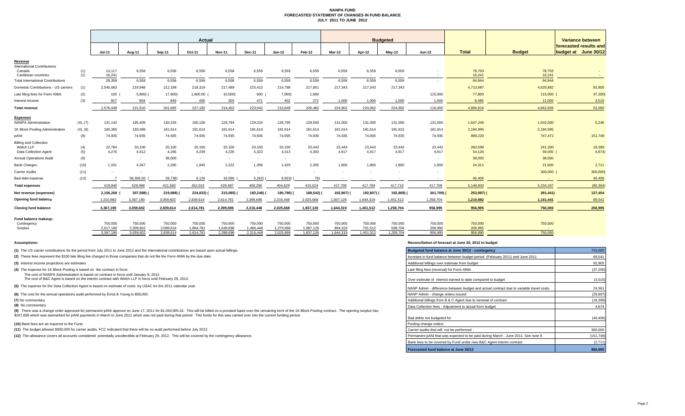#### **NANPA FUND FORECASTED STATEMENT OF CHANGES IN FUND BALANCE JULY 2011 TO JUNE 2012**

|                                                |            | Actual                   |                        |                        |                        |                        |                        |                        | <b>Budgeted</b>        |                      |                      |                      |                                    |                    | Variance between  |                        |  |
|------------------------------------------------|------------|--------------------------|------------------------|------------------------|------------------------|------------------------|------------------------|------------------------|------------------------|----------------------|----------------------|----------------------|------------------------------------|--------------------|-------------------|------------------------|--|
|                                                |            |                          |                        |                        |                        |                        |                        |                        |                        |                      |                      |                      |                                    |                    |                   | forecasted results and |  |
|                                                |            | $Jul-11$                 | Aug-11                 | Sep-11                 | Oct-11                 | <b>Nov-11</b>          | Dec-11                 | $Jan-12$               | Feb-12                 | <b>Mar-12</b>        | Apr-12               | May-12               | Jun-12                             | <b>Total</b>       | <b>Budget</b>     | budget at June 30/12   |  |
| Revenue<br><b>International Contributions</b>  |            |                          |                        |                        |                        |                        |                        |                        |                        |                      |                      |                      |                                    |                    |                   |                        |  |
| Canada<br>Caribbean countries                  | (1)<br>(1) | 13,117<br>16,241         | 6,558<br>$\sim$        | 6,558                  | 6,558<br>$\sim$        | 6,558<br>$\sim$        | 6,559<br>$\sim$        | 6,559<br>$\sim$        | 6,559                  | 6,559<br>$\sim$      | 6,559<br>$\sim$      | 6,559                | $\overline{\phantom{a}}$<br>$\sim$ | 78,703<br>16,241   | 78,703<br>16,241  |                        |  |
| <b>Total International Contributions</b>       |            | 29,358                   | 6,558                  | 6,558                  | 6,558                  | 6,558                  | 6,559                  | 6,559                  | 6,559                  | 6,559                | 6,559                | 6,559                | $\sim$                             | 94,944             | 94,944            |                        |  |
| Domestic Contributions - US carriers           | (1)        | 2,545,663                | 219,948                | 212,188                | 218,319                | 217,489                | 215,412                | 214,788                | 217,851                | 217,343              | 217,343              | 217,343              |                                    | 4,713,687          | 4,620,882         | 92,805                 |  |
| Late filing fees for Form 499A                 | (2)        | 100                      | $5,800$ )              | 17,900)                | 1,900.00               | 10,000)                | 600 (                  | 7,900)                 | 1,800                  |                      |                      |                      | 115,000                            | 77,800             | 115,000           | 37,200                 |  |
| Interest income                                | (3)        | 927                      | 804                    | 849                    | 405                    | 355                    | 471                    | 402                    | 272                    | 1,000                | 1,000                | 1,000                | 1,000                              | 8,485              | 12,000            | 3,515                  |  |
| <b>Total revenue</b>                           |            | 2,576,048                | 221,510                | 201,695                | 227,182                | 214.402                | 223,042                | 213,849                | 226,482                | 224,902              | 224,902              | 224,902              | 116,000                            | 4,894,916          | 4,842,826         | 52,090                 |  |
|                                                |            |                          |                        |                        |                        |                        |                        |                        |                        |                      |                      |                      |                                    |                    |                   |                        |  |
| <b>Expenses</b><br><b>NANPA Administration</b> | (4), (7)   | 131,142                  | 185,409                | 130,226                | 160,156                | 129,794                | 129,224                | 128,795                | 128,500                | 131,000              | 131,000              | 131,000              | 131,000                            | 1,647,246          | 1,642,000         | 5,246                  |  |
| 1K Block Pooling Administration                | (4), (8)   | 185,365                  | 183,489                | 181,614                | 181,614                | 181,614                | 181,614                | 181,614                | 181,614                | 181,614              | 181,614              | 181,615              | 181,614                            | 2,184,995          | 2,184,995         |                        |  |
| pANI                                           | (9)        | 74,935                   | 74,935                 | 74,935                 | 74,935                 | 74,935                 | 74,935                 | 74,935                 | 74,935                 | 74,935               | 74,935               | 74,935               | 74,935                             | 899,220            | 747,472           | 151,748                |  |
| <b>Billing and Collection</b>                  |            |                          |                        |                        |                        |                        |                        |                        |                        |                      |                      |                      |                                    |                    |                   |                        |  |
| Welch LLP<br>Data Collection Agent             | (4)<br>(5) | 22,784<br>4,276          | 20,100<br>4,512        | 20,100<br>4,266        | 20,100<br>4,239        | 20,100<br>4,226        | 20,100<br>4,323        | 20,100<br>4,313        | 23,443<br>4,303        | 23,443<br>4,917      | 23,443<br>4,917      | 23.443<br>4,917      | 23,443<br>4,917                    | 260,599<br>54,126  | 241,200<br>59,000 | 19,399<br>4,874        |  |
| <b>Annual Operations Audit</b>                 | (6)        | $\sim$                   | $\sim$                 | 38,000                 | $\sim$                 | $\sim$                 | $\sim$                 | $\sim$                 | $\sim$                 | $\sim$               | $\sim$               |                      | $\sim$                             | 38,000             | 38,000            |                        |  |
| <b>Bank Charges</b>                            | (10)       | 1,331                    | 4,347                  | 2,280                  | 1.845                  | 2,222                  | 1,356                  | 1,425                  | 2,305                  | 1,800                | 1.800                | 1,800                | 1,800                              | 24,311             | 21,600            | 2,711                  |  |
| <b>Carrier Audits</b>                          | (11)       | $\overline{\phantom{a}}$ | $\sim$                 | $\sim$                 | $\sim$                 | $\sim$                 | $\sim$                 | <b>COL</b>             |                        |                      |                      |                      | $\overline{\phantom{a}}$           | $\sim$             | 300,000           | 300,000                |  |
| Bad debt expense                               | (12)       |                          | 56,306.00              | 29,738)                | 9,126                  | 16,596                 | 5,262)                 | 6,553)                 | 76)                    | $\sim$               | $\sim$               |                      | $\overline{\phantom{a}}$           | 40,406             | $\sim$            | 40,406                 |  |
| <b>Total expenses</b>                          |            | 419,840                  | 529,098                | 421,683                | 452,015                | 429,487                | 406,290                | 404,629                | 415,024                | 417,709              | 417,709              | 417,710              | 417,709                            | 5,148,903          | 5,234,267         | (85, 364)              |  |
| Net revenue (expenses)                         |            | 2,156,208                | 307,588)               | 219,988)               | 224,833)               | 215,085)               | 183,248) (             | 190,780)               | 188,542)               | 192,807)             | 192,807) (           | 192,808)             | 301,709)                           | 253,987) (         | 391,441)          | 137,454                |  |
| Opening fund balance                           |            | 1,210,982                | 3,367,190              | 3,059,602              | 2,839,614              | 2,614,781              | 2,399,696              | 2,216,448              | 2,025,668              | 1,837,126            | 1,644,319            | 1,451,512            | 1,258,704                          | 1,210,982          | 1,141,441         | 69,541                 |  |
| <b>Closing fund balance</b>                    |            | 3,367,190                | 3,059,602              | 2,839,614              | 2,614,781              | 2,399,696              | 2,216,448              | 2,025,668              | 1,837,126              | 1,644,319            | 1,451,512            | 1,258,704            | 956,995                            | 956,995            | 750,000           | 206,995                |  |
| Fund balance makeup:                           |            |                          |                        |                        |                        |                        |                        |                        |                        |                      |                      |                      |                                    |                    |                   |                        |  |
| Contingency                                    |            | 750,000                  | 750,000                | 750,000                | 750,000                | 750,000                | 750,000                | 750,000                | 750,000                | 750,000              | 750,000              | 750,000              | 750,000                            | 750,000            | 750,000           |                        |  |
| Surplus                                        |            | 2,617,190<br>3,367,190   | 2,309,602<br>3,059,602 | 2,089,614<br>2.839.614 | 1,864,781<br>2,614,781 | 1,649,696<br>2,399,696 | 1,466,448<br>2,216,448 | 1,275,668<br>2,025,668 | 1,087,126<br>1,837,126 | 894,319<br>1,644,319 | 701,512<br>1,451,512 | 508,704<br>1,258,704 | 206,995<br>956,995                 | 206,995<br>956,995 | $\sim$<br>750,000 |                        |  |
|                                                |            |                          |                        |                        |                        |                        |                        |                        |                        |                      |                      |                      |                                    |                    |                   |                        |  |

**(8)** No commentary

#### **Assumptions: Reconciliation of forecast at June 30, 2012 to budget**

| (1) The US carrier contributions for the period from July 2011 to June 2012 and the International contributions are based upon actual billings.                                                                                                                                                                                                                                                                       | Budgeted fund balance at June 30/12 - contingency                                       | 750,000    |  |
|-----------------------------------------------------------------------------------------------------------------------------------------------------------------------------------------------------------------------------------------------------------------------------------------------------------------------------------------------------------------------------------------------------------------------|-----------------------------------------------------------------------------------------|------------|--|
| (2) These fees represent the \$100 late filing fee charged to those companies that do not file the Form 499A by the due date.                                                                                                                                                                                                                                                                                         | Increase in fund balance between budget period (February 2011) and June 2011            | 69,541     |  |
| (3) Interest income projections are estimates                                                                                                                                                                                                                                                                                                                                                                         | Additional billings over estimate from budget                                           | 92,805     |  |
| (4) The expense for 1K Block Pooling is based on the contract in force.                                                                                                                                                                                                                                                                                                                                               | Late filing fees (reversal) for Form 499A                                               | (37, 200)  |  |
| The cost of NANPA Administration is based on contract in force until January 8, 2012.<br>The cost of B&C Agent is based on the interim contract with Welch LLP in force until February 29, 2012.                                                                                                                                                                                                                      | Over estimate of interest earned to date compared to budget                             | (3,515)    |  |
| (5) The expense for the Data Collection Agent is based on estimate of costs by USAC for the 2011 calendar year.                                                                                                                                                                                                                                                                                                       | NANP Admin - difference between budget and actual contract due to variable travel costs | 24,561     |  |
| (6) The cost for the annual operations audit performed by Ernst & Young is \$38,000.                                                                                                                                                                                                                                                                                                                                  | NANP Admin - change orders issued                                                       | (29, 807)  |  |
| (7) No commentary                                                                                                                                                                                                                                                                                                                                                                                                     | Additional billings from B & C Agent due to renewal of contract                         | (19, 399)  |  |
| (8) No commentary                                                                                                                                                                                                                                                                                                                                                                                                     | Data Collection fees - Adiustment to actual from budget                                 | 4.874      |  |
| (9) There was a change order approved for permanent pANI approve on June 17, 2011 for \$1,040,905.42. This will be billed on a prorated basis over the remaining term of the 1K Block Pooling contract. The opening surplus has<br>\$167,858 which was earmarked for pANI payments in March to June 2011 which was not paid during that period. This funds for this was carried over into the current funding period. | Bad debts not budgeted for                                                              | (40, 406)  |  |
| (10) Bank fees are an expense to the Fund.                                                                                                                                                                                                                                                                                                                                                                            | Pooling change orders                                                                   |            |  |
| (11) The budget allowed \$300,000 for carrier audits. FCC indicated that there will be no audit performed before July 2012.                                                                                                                                                                                                                                                                                           | Carrier audits that will not be performed                                               | 300,000    |  |
| (12) The allowance covers all accounts considered potentially uncollectible at February 29, 2012. This will be covered by the contingency allowance.                                                                                                                                                                                                                                                                  | Permanent pANi that was expected to be paid during March - June 2011. See note 9.       | (151, 748) |  |
|                                                                                                                                                                                                                                                                                                                                                                                                                       | Bank fees to be covered by Fund under new B&C Agent interim contract                    | (2,711)    |  |
|                                                                                                                                                                                                                                                                                                                                                                                                                       | Forecasted fund balance at June 30/12                                                   | 956,995    |  |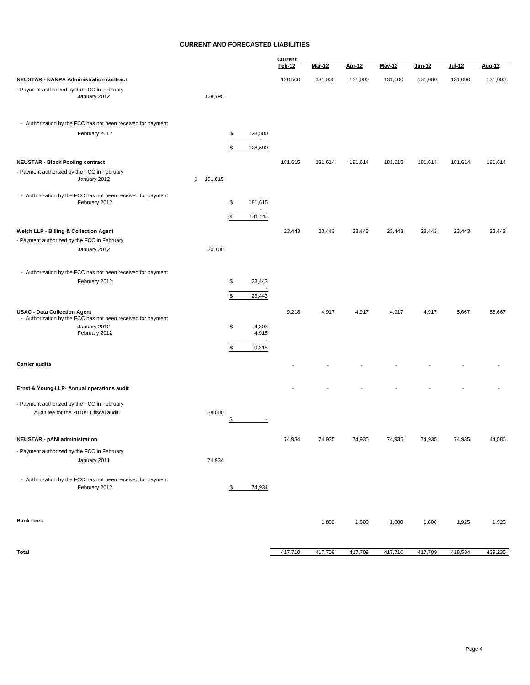#### **CURRENT AND FORECASTED LIABILITIES**

|                                                                               |               |                                           | Current |               |               |               |         |         |         |
|-------------------------------------------------------------------------------|---------------|-------------------------------------------|---------|---------------|---------------|---------------|---------|---------|---------|
|                                                                               |               |                                           | Feb-12  | <u>Mar-12</u> | <b>Apr-12</b> | <b>May-12</b> | Jun-12  | Jul-12  | Aug-12  |
| <b>NEUSTAR - NANPA Administration contract</b>                                |               |                                           | 128,500 | 131,000       | 131,000       | 131,000       | 131,000 | 131,000 | 131,000 |
| - Payment authorized by the FCC in February<br>January 2012                   | 128,795       |                                           |         |               |               |               |         |         |         |
| - Authorization by the FCC has not been received for payment                  |               |                                           |         |               |               |               |         |         |         |
| February 2012                                                                 |               | \$<br>128,500<br>$\overline{\phantom{a}}$ |         |               |               |               |         |         |         |
|                                                                               |               | \$<br>128,500                             |         |               |               |               |         |         |         |
| <b>NEUSTAR - Block Pooling contract</b>                                       |               |                                           | 181,615 | 181,614       | 181,614       | 181,615       | 181,614 | 181,614 | 181,614 |
| - Payment authorized by the FCC in February                                   |               |                                           |         |               |               |               |         |         |         |
| January 2012                                                                  | \$<br>181,615 |                                           |         |               |               |               |         |         |         |
| - Authorization by the FCC has not been received for payment                  |               |                                           |         |               |               |               |         |         |         |
| February 2012                                                                 |               | \$<br>181,615<br>$\overline{\phantom{a}}$ |         |               |               |               |         |         |         |
|                                                                               |               | \$<br>181,615                             |         |               |               |               |         |         |         |
| Welch LLP - Billing & Collection Agent                                        |               |                                           | 23,443  | 23,443        | 23,443        | 23,443        | 23,443  | 23,443  | 23,443  |
| - Payment authorized by the FCC in February                                   |               |                                           |         |               |               |               |         |         |         |
| January 2012                                                                  | 20,100        |                                           |         |               |               |               |         |         |         |
|                                                                               |               |                                           |         |               |               |               |         |         |         |
| - Authorization by the FCC has not been received for payment<br>February 2012 |               | \$<br>23,443                              |         |               |               |               |         |         |         |
|                                                                               |               |                                           |         |               |               |               |         |         |         |
|                                                                               |               | \$<br>23,443                              |         |               |               |               |         |         |         |
| <b>USAC - Data Collection Agent</b>                                           |               |                                           | 9,218   | 4,917         | 4,917         | 4,917         | 4,917   | 5,667   | 56,667  |
| - Authorization by the FCC has not been received for payment<br>January 2012  |               | \$<br>4,303                               |         |               |               |               |         |         |         |
| February 2012                                                                 |               | 4,915                                     |         |               |               |               |         |         |         |
|                                                                               |               | \$<br>9,218                               |         |               |               |               |         |         |         |
| <b>Carrier audits</b>                                                         |               |                                           |         |               |               |               |         |         |         |
|                                                                               |               |                                           |         |               |               |               |         |         |         |
| Ernst & Young LLP- Annual operations audit                                    |               |                                           |         |               |               |               |         |         |         |
| - Payment authorized by the FCC in February                                   |               |                                           |         |               |               |               |         |         |         |
| Audit fee for the 2010/11 fiscal audit                                        | 38,000        | \$                                        |         |               |               |               |         |         |         |
|                                                                               |               |                                           |         |               |               |               |         |         |         |
| <b>NEUSTAR - pANI administration</b>                                          |               |                                           | 74,934  | 74,935        | 74,935        | 74,935        | 74,935  | 74,935  | 44,586  |
| - Payment authorized by the FCC in February                                   |               |                                           |         |               |               |               |         |         |         |
| January 2011                                                                  | 74,934        |                                           |         |               |               |               |         |         |         |
| - Authorization by the FCC has not been received for payment                  |               |                                           |         |               |               |               |         |         |         |
| February 2012                                                                 |               | \$<br>74,934                              |         |               |               |               |         |         |         |
|                                                                               |               |                                           |         |               |               |               |         |         |         |
| <b>Bank Fees</b>                                                              |               |                                           |         | 1,800         | 1,800         | 1,800         | 1,800   | 1,925   | 1,925   |
| Total                                                                         |               |                                           | 417,710 | 417,709       | 417,709       | 417,710       | 417,709 | 418,584 | 439,235 |